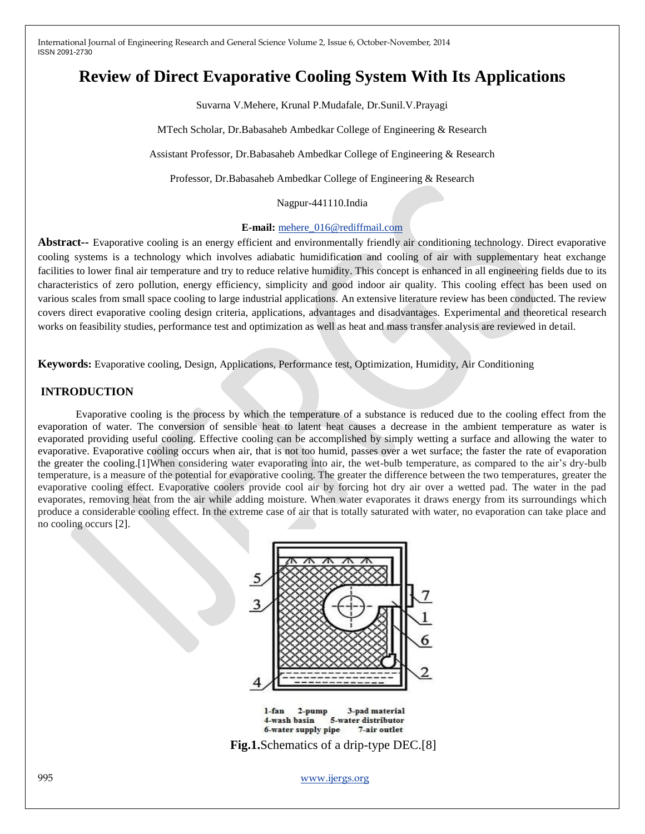# **Review of Direct Evaporative Cooling System With Its Applications**

Suvarna V.Mehere, Krunal P.Mudafale, Dr.Sunil.V.Prayagi

MTech Scholar, Dr.Babasaheb Ambedkar College of Engineering & Research

Assistant Professor, Dr.Babasaheb Ambedkar College of Engineering & Research

Professor, Dr.Babasaheb Ambedkar College of Engineering & Research

Nagpur-441110.India

#### **E-mail:** [mehere\\_016@rediffmail.com](mailto:mehere_016@rediffmail.com)

**Abstract--** Evaporative cooling is an energy efficient and environmentally friendly air conditioning technology. Direct evaporative cooling systems is a technology which involves adiabatic humidification and cooling of air with supplementary heat exchange facilities to lower final air temperature and try to reduce relative humidity. This concept is enhanced in all engineering fields due to its characteristics of zero pollution, energy efficiency, simplicity and good indoor air quality. This cooling effect has been used on various scales from small space cooling to large industrial applications. An extensive literature review has been conducted. The review covers direct evaporative cooling design criteria, applications, advantages and disadvantages. Experimental and theoretical research works on feasibility studies, performance test and optimization as well as heat and mass transfer analysis are reviewed in detail.

**Keywords:** Evaporative cooling, Design, Applications, Performance test, Optimization, Humidity, Air Conditioning

### **INTRODUCTION**

Evaporative cooling is the process by which the temperature of a substance is reduced due to the cooling effect from the evaporation of water. The conversion of sensible heat to latent heat causes a decrease in the ambient temperature as water is evaporated providing useful cooling. Effective cooling can be accomplished by simply wetting a surface and allowing the water to evaporative. Evaporative cooling occurs when air, that is not too humid, passes over a wet surface; the faster the rate of evaporation the greater the cooling.[1]When considering water evaporating into air, the wet-bulb temperature, as compared to the air's dry-bulb temperature, is a measure of the potential for evaporative cooling. The greater the difference between the two temperatures, greater the evaporative cooling effect. Evaporative coolers provide cool air by forcing hot dry air over a wetted pad. The water in the pad evaporates, removing heat from the air while adding moisture. When water evaporates it draws energy from its surroundings which produce a considerable cooling effect. In the extreme case of air that is totally saturated with water, no evaporation can take place and no cooling occurs [2].



995 www.ijergs.org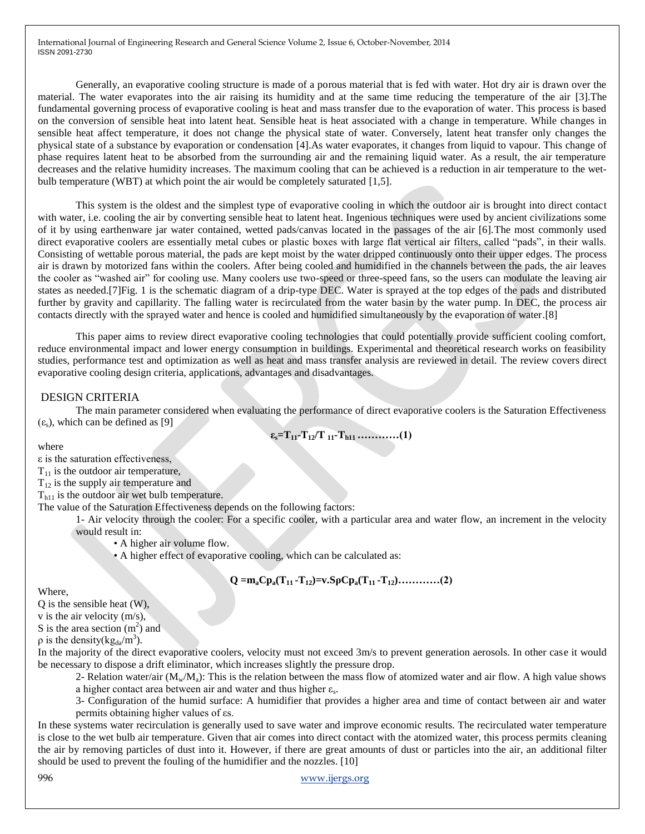Generally, an evaporative cooling structure is made of a porous material that is fed with water. Hot dry air is drawn over the material. The water evaporates into the air raising its humidity and at the same time reducing the temperature of the air [3].The fundamental governing process of evaporative cooling is heat and mass transfer due to the evaporation of water. This process is based on the conversion of sensible heat into latent heat. Sensible heat is heat associated with a change in temperature. While changes in sensible heat affect temperature, it does not change the physical state of water. Conversely, latent heat transfer only changes the physical state of a substance by evaporation or condensation [4].As water evaporates, it changes from liquid to vapour. This change of phase requires latent heat to be absorbed from the surrounding air and the remaining liquid water. As a result, the air temperature decreases and the relative humidity increases. The maximum cooling that can be achieved is a reduction in air temperature to the wetbulb temperature (WBT) at which point the air would be completely saturated [1,5].

This system is the oldest and the simplest type of evaporative cooling in which the outdoor air is brought into direct contact with water, i.e. cooling the air by converting sensible heat to latent heat. Ingenious techniques were used by ancient civilizations some of it by using earthenware jar water contained, wetted pads/canvas located in the passages of the air [6].The most commonly used direct evaporative coolers are essentially metal cubes or plastic boxes with large flat vertical air filters, called "pads", in their walls. Consisting of wettable porous material, the pads are kept moist by the water dripped continuously onto their upper edges. The process air is drawn by motorized fans within the coolers. After being cooled and humidified in the channels between the pads, the air leaves the cooler as "washed air" for cooling use. Many coolers use two-speed or three-speed fans, so the users can modulate the leaving air states as needed.[7]Fig. 1 is the schematic diagram of a drip-type DEC. Water is sprayed at the top edges of the pads and distributed further by gravity and capillarity. The falling water is recirculated from the water basin by the water pump. In DEC, the process air contacts directly with the sprayed water and hence is cooled and humidified simultaneously by the evaporation of water.[8]

This paper aims to review direct evaporative cooling technologies that could potentially provide sufficient cooling comfort, reduce environmental impact and lower energy consumption in buildings. Experimental and theoretical research works on feasibility studies, performance test and optimization as well as heat and mass transfer analysis are reviewed in detail. The review covers direct evaporative cooling design criteria, applications, advantages and disadvantages.

## DESIGN CRITERIA

The main parameter considered when evaluating the performance of direct evaporative coolers is the Saturation Effectiveness  $(\varepsilon_s)$ , which can be defined as [9]

$$
\varepsilon_s = T_{11} - T_{12}/T_{11} - T_{h11} \dots \dots \dots \dots (1)
$$

where

 $\epsilon$  is the saturation effectiveness,

 $T_{11}$  is the outdoor air temperature,

 $T_{12}$  is the supply air temperature and

 $T<sub>h11</sub>$  is the outdoor air wet bulb temperature.

The value of the Saturation Effectiveness depends on the following factors:

1- Air velocity through the cooler: For a specific cooler, with a particular area and water flow, an increment in the velocity would result in:

• A higher air volume flow.

• A higher effect of evaporative cooling, which can be calculated as:

$$
Q = m_a Cp_a(T_{11} - T_{12}) = v.S\rho Cp_a(T_{11} - T_{12}) \dots \dots \dots \dots (2)
$$

Where,

 $\overline{O}$  is the sensible heat  $(\overline{W})$ ,

v is the air velocity (m/s),

S is the area section  $(m<sup>2</sup>)$  and

 $\rho$  is the density(kg<sub>da</sub>/m<sup>3</sup>).

In the majority of the direct evaporative coolers, velocity must not exceed 3m/s to prevent generation aerosols. In other case it would be necessary to dispose a drift eliminator, which increases slightly the pressure drop.

2- Relation water/air  $(M_w/M_a)$ : This is the relation between the mass flow of atomized water and air flow. A high value shows a higher contact area between air and water and thus higher  $\varepsilon_s$ .

3- Configuration of the humid surface: A humidifier that provides a higher area and time of contact between air and water permits obtaining higher values of εs.

In these systems water recirculation is generally used to save water and improve economic results. The recirculated water temperature is close to the wet bulb air temperature. Given that air comes into direct contact with the atomized water, this process permits cleaning the air by removing particles of dust into it. However, if there are great amounts of dust or particles into the air, an additional filter should be used to prevent the fouling of the humidifier and the nozzles. [10]

996 www.ijergs.org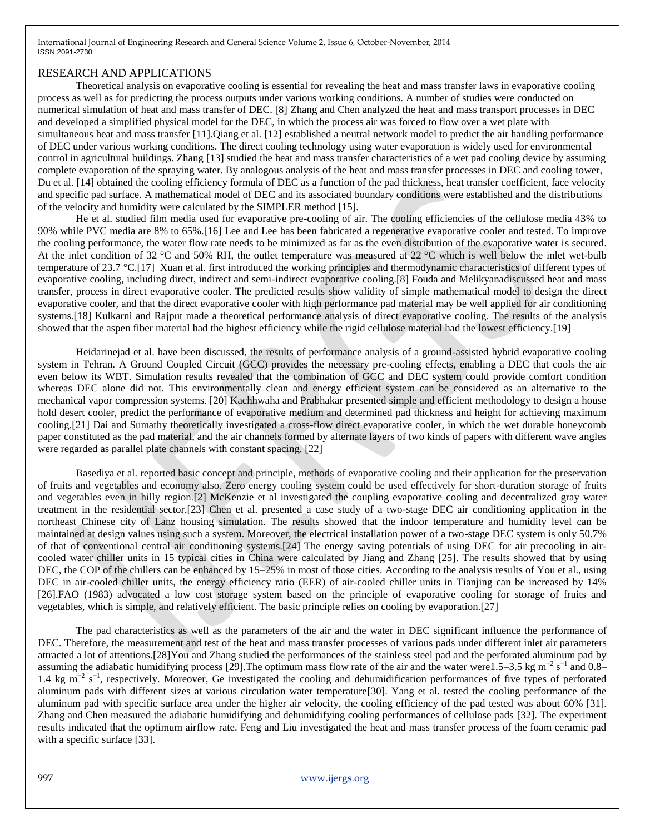## RESEARCH AND APPLICATIONS

Theoretical analysis on evaporative cooling is essential for revealing the heat and mass transfer laws in evaporative cooling process as well as for predicting the process outputs under various working conditions. A number of studies were conducted on numerical simulation of heat and mass transfer of DEC. [8] Zhang and Chen analyzed the heat and mass transport processes in DEC and developed a simplified physical model for the DEC, in which the process air was forced to flow over a wet plate with simultaneous heat and mass transfer [11].Qiang et al. [12] established a neutral network model to predict the air handling performance of DEC under various working conditions. The direct cooling technology using water evaporation is widely used for environmental control in agricultural buildings. Zhang [13] studied the heat and mass transfer characteristics of a wet pad cooling device by assuming complete evaporation of the spraying water. By analogous analysis of the heat and mass transfer processes in DEC and cooling tower, Du et al. [14] obtained the cooling efficiency formula of DEC as a function of the pad thickness, heat transfer coefficient, face velocity and specific pad surface. A mathematical model of DEC and its associated boundary conditions were established and the distributions of the velocity and humidity were calculated by the SIMPLER method [15].

He et al. studied film media used for evaporative pre-cooling of air. The cooling efficiencies of the cellulose media 43% to 90% while PVC media are 8% to 65%.[16] Lee and Lee has been fabricated a regenerative evaporative cooler and tested. To improve the cooling performance, the water flow rate needs to be minimized as far as the even distribution of the evaporative water is secured. At the inlet condition of 32 °C and 50% RH, the outlet temperature was measured at 22 °C which is well below the inlet wet-bulb temperature of 23.7 °C.[17] Xuan et al. first introduced the working principles and thermodynamic characteristics of different types of evaporative cooling, including direct, indirect and semi-indirect evaporative cooling.[8] Fouda and Melikyanadiscussed heat and mass transfer, process in direct evaporative cooler. The predicted results show validity of simple mathematical model to design the direct evaporative cooler, and that the direct evaporative cooler with high performance pad material may be well applied for air conditioning systems.[18] Kulkarni and Rajput made a theoretical performance analysis of direct evaporative cooling. The results of the analysis showed that the aspen fiber material had the highest efficiency while the rigid cellulose material had the lowest efficiency.[19]

Heidarinejad et al. have been discussed, the results of performance analysis of a ground-assisted hybrid evaporative cooling system in Tehran. A Ground Coupled Circuit (GCC) provides the necessary pre-cooling effects, enabling a DEC that cools the air even below its WBT. Simulation results revealed that the combination of GCC and DEC system could provide comfort condition whereas DEC alone did not. This environmentally clean and energy efficient system can be considered as an alternative to the mechanical vapor compression systems. [20] Kachhwaha and Prabhakar presented simple and efficient methodology to design a house hold desert cooler, predict the performance of evaporative medium and determined pad thickness and height for achieving maximum cooling.[21] Dai and Sumathy theoretically investigated a cross-flow direct evaporative cooler, in which the wet durable honeycomb paper constituted as the pad material, and the air channels formed by alternate layers of two kinds of papers with different wave angles were regarded as parallel plate channels with constant spacing. [22]

Basediya et al. reported basic concept and principle, methods of evaporative cooling and their application for the preservation of fruits and vegetables and economy also. Zero energy cooling system could be used effectively for short-duration storage of fruits and vegetables even in hilly region.[2] McKenzie et al investigated the coupling evaporative cooling and decentralized gray water treatment in the residential sector.[23] Chen et al. presented a case study of a two-stage DEC air conditioning application in the northeast Chinese city of Lanz housing simulation. The results showed that the indoor temperature and humidity level can be maintained at design values using such a system. Moreover, the electrical installation power of a two-stage DEC system is only 50.7% of that of conventional central air conditioning systems.[24] The energy saving potentials of using DEC for air precooling in aircooled water chiller units in 15 typical cities in China were calculated by Jiang and Zhang [25]. The results showed that by using DEC, the COP of the chillers can be enhanced by 15–25% in most of those cities. According to the analysis results of You et al., using DEC in air-cooled chiller units, the energy efficiency ratio (EER) of air-cooled chiller units in Tianjing can be increased by 14% [26].FAO (1983) advocated a low cost storage system based on the principle of evaporative cooling for storage of fruits and vegetables, which is simple, and relatively efficient. The basic principle relies on cooling by evaporation.[27]

The pad characteristics as well as the parameters of the air and the water in DEC significant influence the performance of DEC. Therefore, the measurement and test of the heat and mass transfer processes of various pads under different inlet air parameters attracted a lot of attentions.[28]You and Zhang studied the performances of the stainless steel pad and the perforated aluminum pad by assuming the adiabatic humidifying process [29]. The optimum mass flow rate of the air and the water were1.5–3.5 kg m<sup>-2</sup> s<sup>-1</sup> and 0.8– 1.4 kg m<sup>-2</sup> s<sup>-1</sup>, respectively. Moreover, Ge investigated the cooling and dehumidification performances of five types of perforated aluminum pads with different sizes at various circulation water temperature[30]. Yang et al. tested the cooling performance of the aluminum pad with specific surface area under the higher air velocity, the cooling efficiency of the pad tested was about 60% [31]. Zhang and Chen measured the adiabatic humidifying and dehumidifying cooling performances of cellulose pads [32]. The experiment results indicated that the optimum airflow rate. Feng and Liu investigated the heat and mass transfer process of the foam ceramic pad with a specific surface [33].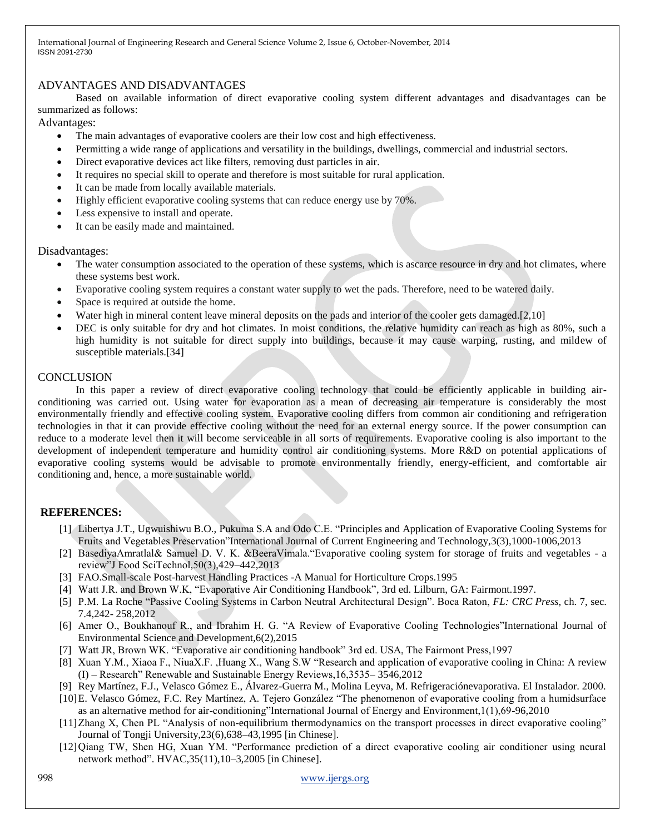## ADVANTAGES AND DISADVANTAGES

Based on available information of direct evaporative cooling system different advantages and disadvantages can be summarized as follows:

Advantages:

- The main advantages of evaporative coolers are their low cost and high effectiveness.
- Permitting a wide range of applications and versatility in the buildings, dwellings, commercial and industrial sectors.
- Direct evaporative devices act like filters, removing dust particles in air.
- It requires no special skill to operate and therefore is most suitable for rural application.
- It can be made from locally available materials.
- Highly efficient evaporative cooling systems that can reduce energy use by 70%.
- Less expensive to install and operate.
- It can be easily made and maintained.

Disadvantages:

- The water consumption associated to the operation of these systems, which is ascarce resource in dry and hot climates, where these systems best work.
- Evaporative cooling system requires a constant water supply to wet the pads. Therefore, need to be watered daily.
- Space is required at outside the home.
- Water high in mineral content leave mineral deposits on the pads and interior of the cooler gets damaged.[2,10]
- DEC is only suitable for dry and hot climates. In moist conditions, the relative humidity can reach as high as 80%, such a high humidity is not suitable for direct supply into buildings, because it may cause warping, rusting, and mildew of susceptible materials.[34]

# **CONCLUSION**

In this paper a review of direct evaporative cooling technology that could be efficiently applicable in building airconditioning was carried out. Using water for evaporation as a mean of decreasing air temperature is considerably the most environmentally friendly and effective cooling system. Evaporative cooling differs from common air conditioning and refrigeration technologies in that it can provide effective cooling without the need for an external energy source. If the power consumption can reduce to a moderate level then it will become serviceable in all sorts of requirements. Evaporative cooling is also important to the development of independent temperature and humidity control air conditioning systems. More R&D on potential applications of evaporative cooling systems would be advisable to promote environmentally friendly, energy-efficient, and comfortable air conditioning and, hence, a more sustainable world.

# **REFERENCES:**

- [1] Libertya J.T., Ugwuishiwu B.O., Pukuma S.A and Odo C.E. "Principles and Application of Evaporative Cooling Systems for Fruits and Vegetables Preservation"International Journal of Current Engineering and Technology, 3(3), 1000-1006, 2013
- [2] BasediyaAmratlal& Samuel D. V. K. &BeeraVimala. "Evaporative cooling system for storage of fruits and vegetables a review‖J Food SciTechnol,50(3),429–442,2013
- [3] FAO.Small-scale Post-harvest Handling Practices -A Manual for Horticulture Crops.1995
- [4] Watt J.R. and Brown W.K, "Evaporative Air Conditioning Handbook", 3rd ed. Lilburn, GA: Fairmont.1997.
- [5] P.M. La Roche "Passive Cooling Systems in Carbon Neutral Architectural Design". Boca Raton, *FL: CRC Press*, ch. 7, sec. 7.4,242- 258,2012
- [6] Amer O., Boukhanouf R., and Ibrahim H. G. "A Review of Evaporative Cooling Technologies"International Journal of Environmental Science and Development,6(2),2015
- [7] Watt JR, Brown WK. "Evaporative air conditioning handbook" 3rd ed. USA, The Fairmont Press,1997
- [8] Xuan Y.M., Xiaoa F., NiuaX.F., Huang X., Wang S.W "Research and application of evaporative cooling in China: A review  $(I)$  – Research<sup>"</sup> Renewable and Sustainable Energy Reviews,  $16,3535-3546,2012$
- [9] Rey Martínez, F.J., Velasco Gómez E., Álvarez-Guerra M., Molina Leyva, M. Refrigeraciónevaporativa. El Instalador. 2000.
- [10] E. Velasco Gómez, F.C. Rey Martínez, A. Tejero González "The phenomenon of evaporative cooling from a humidsurface as an alternative method for air-conditioning"International Journal of Energy and Environment,1(1),69-96,2010
- [11] Zhang X, Chen PL "Analysis of non-equilibrium thermodynamics on the transport processes in direct evaporative cooling" Journal of Tongji University,23(6),638–43,1995 [in Chinese].
- [12] Qiang TW, Shen HG, Xuan YM. "Performance prediction of a direct evaporative cooling air conditioner using neural network method". HVAC, 35(11), 10-3, 2005 [in Chinese].